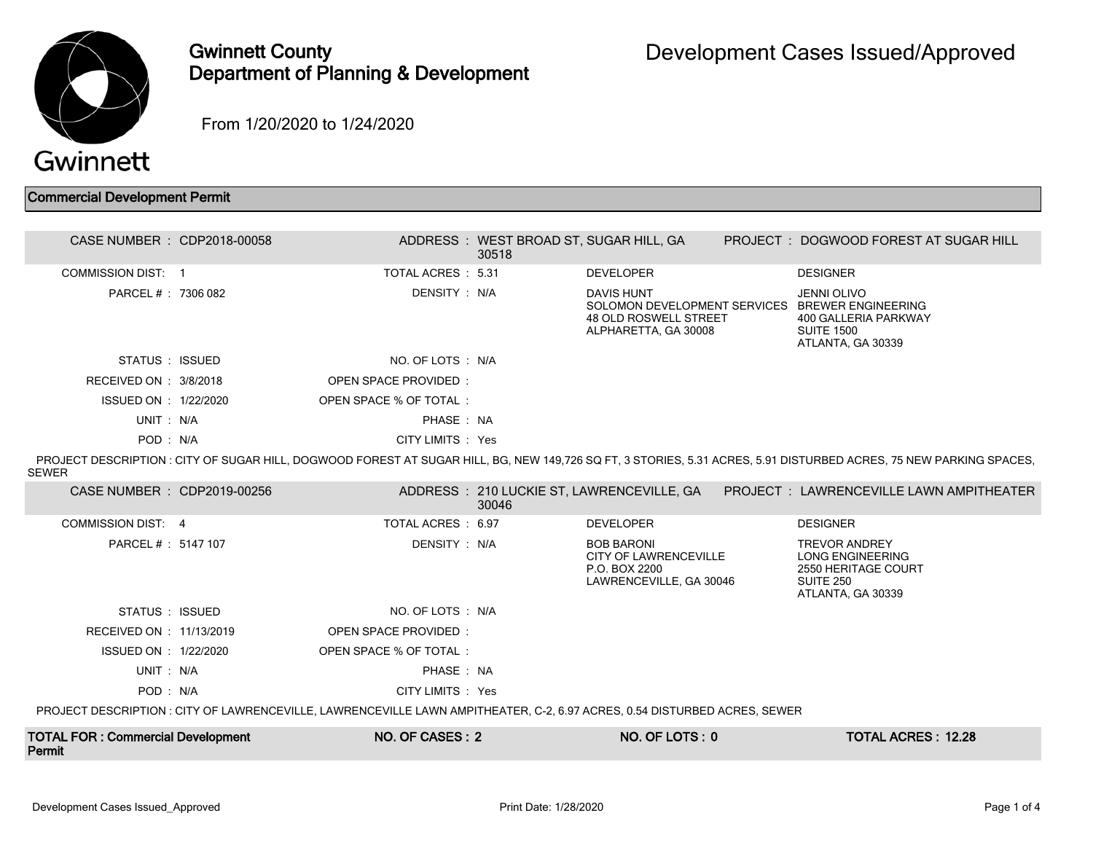

## Gwinnett County Department of Planning & Development

From 1/20/2020 to 1/24/2020

## Commercial Development Permit

| CASE NUMBER : CDP2018-00058                                                                                               |  |                        | ADDRESS: WEST BROAD ST, SUGAR HILL, GA<br>30518 |                                                                                                                              |  | PROJECT: DOGWOOD FOREST AT SUGAR HILL                                                                                                                             |  |
|---------------------------------------------------------------------------------------------------------------------------|--|------------------------|-------------------------------------------------|------------------------------------------------------------------------------------------------------------------------------|--|-------------------------------------------------------------------------------------------------------------------------------------------------------------------|--|
| <b>COMMISSION DIST: 1</b>                                                                                                 |  | TOTAL ACRES : 5.31     |                                                 | <b>DEVELOPER</b>                                                                                                             |  | <b>DESIGNER</b>                                                                                                                                                   |  |
| PARCEL # : 7306 082                                                                                                       |  | DENSITY: N/A           |                                                 | <b>DAVIS HUNT</b><br>SOLOMON DEVELOPMENT SERVICES BREWER ENGINEERING<br><b>48 OLD ROSWELL STREET</b><br>ALPHARETTA, GA 30008 |  | <b>JENNI OLIVO</b><br>400 GALLERIA PARKWAY<br><b>SUITE 1500</b><br>ATLANTA, GA 30339                                                                              |  |
| STATUS : ISSUED                                                                                                           |  | NO. OF LOTS : N/A      |                                                 |                                                                                                                              |  |                                                                                                                                                                   |  |
| RECEIVED ON : 3/8/2018                                                                                                    |  | OPEN SPACE PROVIDED:   |                                                 |                                                                                                                              |  |                                                                                                                                                                   |  |
| ISSUED ON : 1/22/2020                                                                                                     |  | OPEN SPACE % OF TOTAL: |                                                 |                                                                                                                              |  |                                                                                                                                                                   |  |
| UNIT: N/A                                                                                                                 |  | PHASE: NA              |                                                 |                                                                                                                              |  |                                                                                                                                                                   |  |
| POD: N/A                                                                                                                  |  | CITY LIMITS : Yes      |                                                 |                                                                                                                              |  |                                                                                                                                                                   |  |
| <b>SEWER</b>                                                                                                              |  |                        |                                                 |                                                                                                                              |  | PROJECT DESCRIPTION: CITY OF SUGAR HILL, DOGWOOD FOREST AT SUGAR HILL, BG, NEW 149,726 SQ FT, 3 STORIES, 5.31 ACRES, 5.91 DISTURBED ACRES, 75 NEW PARKING SPACES, |  |
| CASE NUMBER : CDP2019-00256                                                                                               |  |                        | 30046                                           |                                                                                                                              |  | ADDRESS : 210 LUCKIE ST, LAWRENCEVILLE, GA PROJECT : LAWRENCEVILLE LAWN AMPITHEATER                                                                               |  |
| COMMISSION DIST: 4                                                                                                        |  | TOTAL ACRES: 6.97      |                                                 | <b>DEVELOPER</b>                                                                                                             |  | <b>DESIGNER</b>                                                                                                                                                   |  |
| PARCEL #: 5147 107                                                                                                        |  | DENSITY : N/A          |                                                 | <b>BOB BARONI</b><br><b>CITY OF LAWRENCEVILLE</b><br>P.O. BOX 2200<br>LAWRENCEVILLE, GA 30046                                |  | <b>TREVOR ANDREY</b><br><b>LONG ENGINEERING</b><br>2550 HERITAGE COURT<br>SUITE 250<br>ATLANTA, GA 30339                                                          |  |
| STATUS : ISSUED                                                                                                           |  | NO. OF LOTS : N/A      |                                                 |                                                                                                                              |  |                                                                                                                                                                   |  |
| RECEIVED ON : 11/13/2019                                                                                                  |  | OPEN SPACE PROVIDED:   |                                                 |                                                                                                                              |  |                                                                                                                                                                   |  |
| ISSUED ON : 1/22/2020                                                                                                     |  | OPEN SPACE % OF TOTAL: |                                                 |                                                                                                                              |  |                                                                                                                                                                   |  |
| UNIT: N/A                                                                                                                 |  | PHASE: NA              |                                                 |                                                                                                                              |  |                                                                                                                                                                   |  |
| POD: N/A                                                                                                                  |  | CITY LIMITS : Yes      |                                                 |                                                                                                                              |  |                                                                                                                                                                   |  |
| PROJECT DESCRIPTION : CITY OF LAWRENCEVILLE, LAWRENCEVILLE LAWN AMPITHEATER, C-2, 6.97 ACRES, 0.54 DISTURBED ACRES, SEWER |  |                        |                                                 |                                                                                                                              |  |                                                                                                                                                                   |  |
| <b>TOTAL FOR: Commercial Development</b><br>Permit                                                                        |  | NO. OF CASES: 2        |                                                 | NO. OF LOTS: 0                                                                                                               |  | <b>TOTAL ACRES: 12.28</b>                                                                                                                                         |  |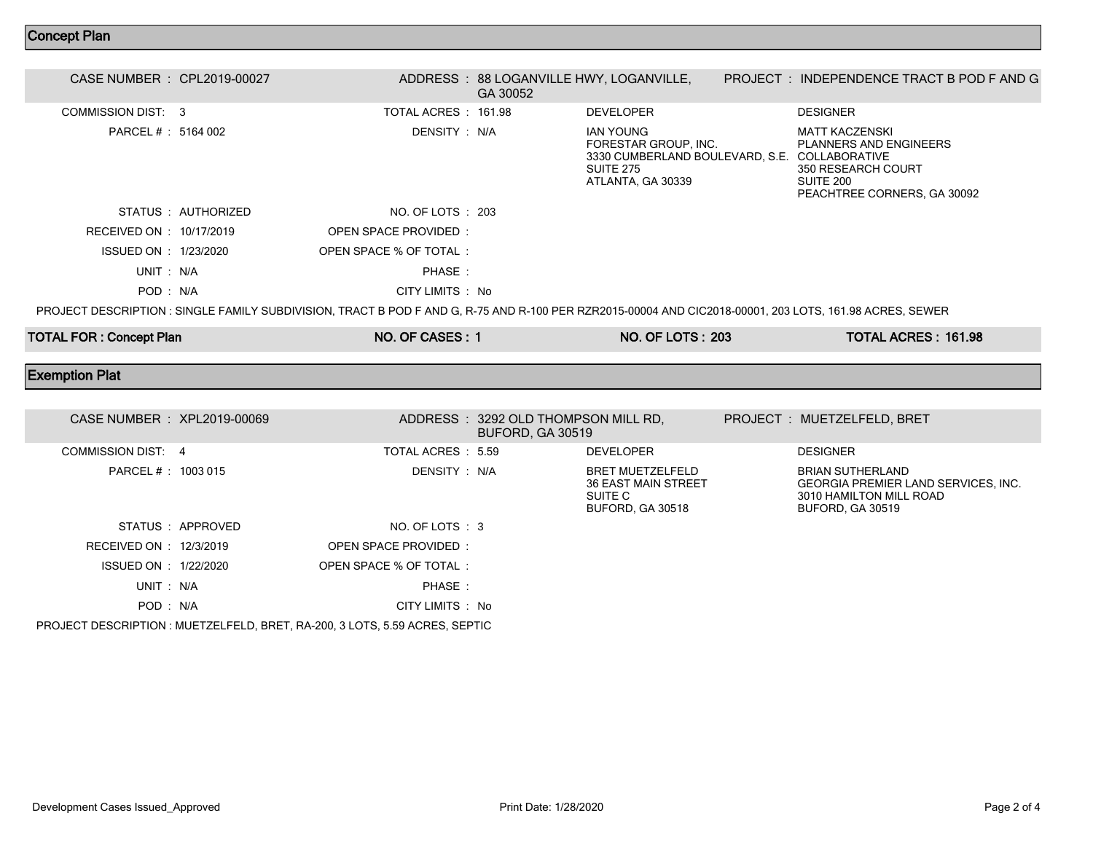## Concept Plan

| CASE NUMBER : CPL2019-00027 |                                                                                                                                                         | ADDRESS: 88 LOGANVILLE HWY, LOGANVILLE,<br>GA 30052 |                                                                                                        | PROJECT : INDEPENDENCE TRACT B POD F AND G                                                                                         |
|-----------------------------|---------------------------------------------------------------------------------------------------------------------------------------------------------|-----------------------------------------------------|--------------------------------------------------------------------------------------------------------|------------------------------------------------------------------------------------------------------------------------------------|
| COMMISSION DIST: 3          | TOTAL ACRES : 161.98                                                                                                                                    |                                                     | <b>DEVELOPER</b>                                                                                       | <b>DESIGNER</b>                                                                                                                    |
| PARCEL # : 5164 002         | DENSITY : N/A                                                                                                                                           |                                                     | IAN YOUNG<br>FORESTAR GROUP. INC.<br>3330 CUMBERLAND BOULEVARD, S.E.<br>SUITE 275<br>ATLANTA, GA 30339 | MATT KACZENSKI<br><b>PLANNERS AND ENGINEERS</b><br>COLLABORATIVE<br>350 RESEARCH COURT<br>SUITE 200<br>PEACHTREE CORNERS, GA 30092 |
| STATUS : AUTHORIZED         | NO. OF LOTS : 203                                                                                                                                       |                                                     |                                                                                                        |                                                                                                                                    |
| RECEIVED ON : 10/17/2019    | OPEN SPACE PROVIDED:                                                                                                                                    |                                                     |                                                                                                        |                                                                                                                                    |
| ISSUED ON : 1/23/2020       | OPEN SPACE % OF TOTAL:                                                                                                                                  |                                                     |                                                                                                        |                                                                                                                                    |
| UNIT: N/A                   | PHASE:                                                                                                                                                  |                                                     |                                                                                                        |                                                                                                                                    |
| POD: N/A                    | CITY LIMITS : No                                                                                                                                        |                                                     |                                                                                                        |                                                                                                                                    |
|                             | PROJECT DESCRIPTION : SINGLE FAMILY SUBDIVISION, TRACT B POD F AND G, R-75 AND R-100 PER RZR2015-00004 AND CIC2018-00001, 203 LOTS, 161.98 ACRES, SEWER |                                                     |                                                                                                        |                                                                                                                                    |

TOTAL FOR : Concept Plan NO. OF CASES : 1 NO. OF CASES : 1 NO. OF LOTS : 203 TOTAL ACRES : 161.98

## Exemption Plat

| CASE NUMBER : XPL2019-00069 |                                                                             |                    | ADDRESS : 3292 OLD THOMPSON MILL RD.<br><b>BUFORD, GA 30519</b> |                                                                                      | PROJECT: MUETZELFELD, BRET                                                                                                  |
|-----------------------------|-----------------------------------------------------------------------------|--------------------|-----------------------------------------------------------------|--------------------------------------------------------------------------------------|-----------------------------------------------------------------------------------------------------------------------------|
| COMMISSION DIST: 4          |                                                                             | TOTAL ACRES : 5.59 |                                                                 | <b>DEVELOPER</b>                                                                     | <b>DESIGNER</b>                                                                                                             |
| PARCEL # : 1003 015         |                                                                             | DENSITY : N/A      |                                                                 | <b>BRET MUETZELFELD</b><br><b>36 EAST MAIN STREET</b><br>SUITE C<br>BUFORD, GA 30518 | <b>BRIAN SUTHERLAND</b><br><b>GEORGIA PREMIER LAND SERVICES. INC.</b><br>3010 HAMILTON MILL ROAD<br><b>BUFORD, GA 30519</b> |
| STATUS APPROVED             |                                                                             | NO. OF LOTS : 3    |                                                                 |                                                                                      |                                                                                                                             |
| RECEIVED ON : 12/3/2019     | OPEN SPACE PROVIDED:                                                        |                    |                                                                 |                                                                                      |                                                                                                                             |
| ISSUED ON : 1/22/2020       | OPEN SPACE % OF TOTAL:                                                      |                    |                                                                 |                                                                                      |                                                                                                                             |
| UNIT: N/A                   |                                                                             | PHASE:             |                                                                 |                                                                                      |                                                                                                                             |
| POD: N/A                    |                                                                             | CITY LIMITS : No   |                                                                 |                                                                                      |                                                                                                                             |
|                             | PROJECT DESCRIPTION : MUETZELFELD, BRET, RA-200, 3 LOTS, 5.59 ACRES, SEPTIC |                    |                                                                 |                                                                                      |                                                                                                                             |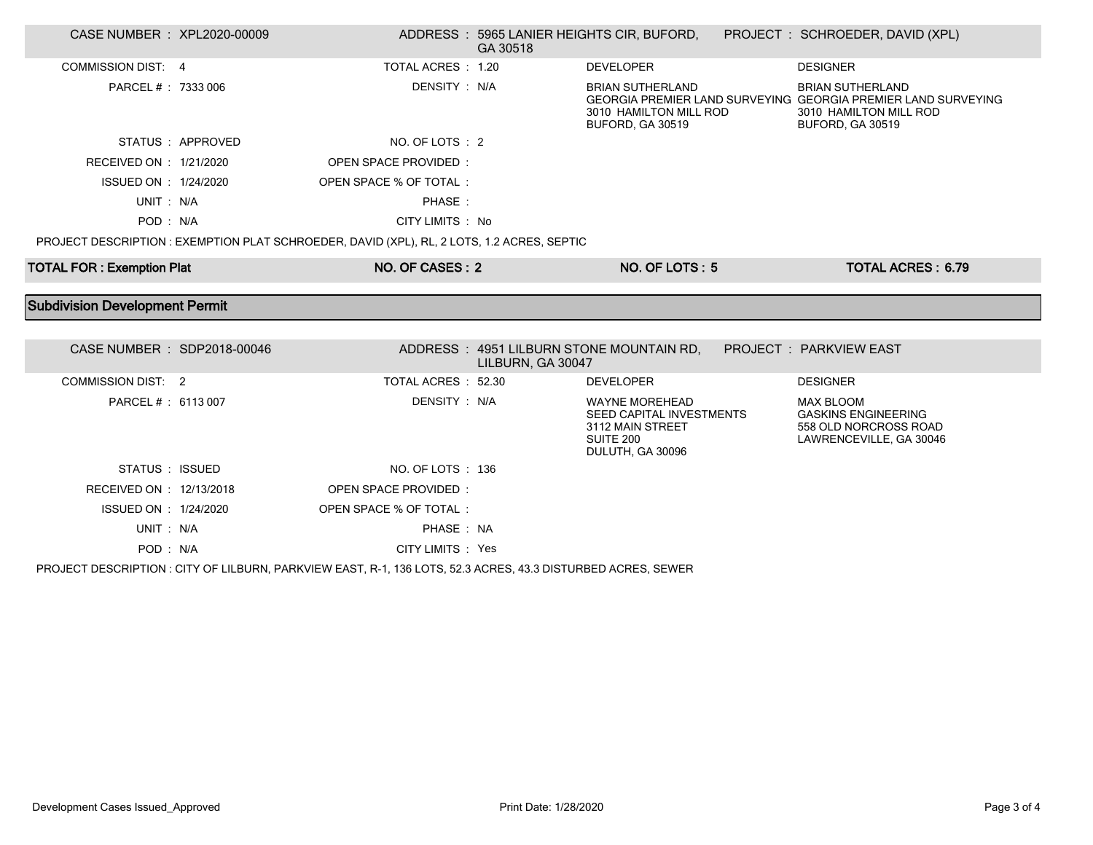| CASE NUMBER : XPL2020-00009           |                  |                                                                                            | GA 30518          | ADDRESS: 5965 LANIER HEIGHTS CIR, BUFORD,                                                                     | PROJECT : SCHROEDER, DAVID (XPL)                                                                                                              |  |
|---------------------------------------|------------------|--------------------------------------------------------------------------------------------|-------------------|---------------------------------------------------------------------------------------------------------------|-----------------------------------------------------------------------------------------------------------------------------------------------|--|
| COMMISSION DIST: 4                    |                  | TOTAL ACRES : 1.20                                                                         |                   | <b>DEVELOPER</b>                                                                                              | <b>DESIGNER</b>                                                                                                                               |  |
| PARCEL # : 7333 006                   |                  | DENSITY : N/A                                                                              |                   | <b>BRIAN SUTHERLAND</b><br>3010 HAMILTON MILL ROD<br><b>BUFORD, GA 30519</b>                                  | <b>BRIAN SUTHERLAND</b><br>GEORGIA PREMIER LAND SURVEYING GEORGIA PREMIER LAND SURVEYING<br>3010 HAMILTON MILL ROD<br><b>BUFORD, GA 30519</b> |  |
|                                       | STATUS: APPROVED | NO. OF LOTS : 2                                                                            |                   |                                                                                                               |                                                                                                                                               |  |
| RECEIVED ON : 1/21/2020               |                  | OPEN SPACE PROVIDED:                                                                       |                   |                                                                                                               |                                                                                                                                               |  |
| ISSUED ON : 1/24/2020                 |                  | OPEN SPACE % OF TOTAL:                                                                     |                   |                                                                                                               |                                                                                                                                               |  |
| UNIT: N/A                             |                  | PHASE:                                                                                     |                   |                                                                                                               |                                                                                                                                               |  |
| POD: N/A                              |                  | CITY LIMITS : No                                                                           |                   |                                                                                                               |                                                                                                                                               |  |
|                                       |                  | PROJECT DESCRIPTION : EXEMPTION PLAT SCHROEDER, DAVID (XPL), RL, 2 LOTS, 1.2 ACRES, SEPTIC |                   |                                                                                                               |                                                                                                                                               |  |
| <b>TOTAL FOR: Exemption Plat</b>      |                  | NO. OF CASES: 2                                                                            |                   | NO. OF LOTS: 5                                                                                                | <b>TOTAL ACRES: 6.79</b>                                                                                                                      |  |
|                                       |                  |                                                                                            |                   |                                                                                                               |                                                                                                                                               |  |
|                                       |                  |                                                                                            |                   |                                                                                                               |                                                                                                                                               |  |
| <b>Subdivision Development Permit</b> |                  |                                                                                            |                   |                                                                                                               |                                                                                                                                               |  |
| CASE NUMBER : SDP2018-00046           |                  |                                                                                            | LILBURN, GA 30047 | ADDRESS: 4951 LILBURN STONE MOUNTAIN RD.                                                                      | PROJECT : PARKVIEW EAST                                                                                                                       |  |
| <b>COMMISSION DIST: 2</b>             |                  | TOTAL ACRES : 52.30                                                                        |                   | <b>DEVELOPER</b>                                                                                              | <b>DESIGNER</b>                                                                                                                               |  |
| PARCEL # : 6113 007                   |                  | DENSITY : N/A                                                                              |                   | <b>WAYNE MOREHEAD</b><br><b>SEED CAPITAL INVESTMENTS</b><br>3112 MAIN STREET<br>SUITE 200<br>DULUTH, GA 30096 | <b>MAX BLOOM</b><br><b>GASKINS ENGINEERING</b><br>558 OLD NORCROSS ROAD<br>LAWRENCEVILLE, GA 30046                                            |  |
| STATUS : ISSUED                       |                  | NO. OF LOTS: 136                                                                           |                   |                                                                                                               |                                                                                                                                               |  |
| RECEIVED ON : 12/13/2018              |                  | <b>OPEN SPACE PROVIDED:</b>                                                                |                   |                                                                                                               |                                                                                                                                               |  |
| ISSUED ON : 1/24/2020                 |                  | OPEN SPACE % OF TOTAL:                                                                     |                   |                                                                                                               |                                                                                                                                               |  |
| UNIT: N/A                             |                  | PHASE: NA                                                                                  |                   |                                                                                                               |                                                                                                                                               |  |

PROJECT DESCRIPTION : CITY OF LILBURN, PARKVIEW EAST, R-1, 136 LOTS, 52.3 ACRES, 43.3 DISTURBED ACRES, SEWER